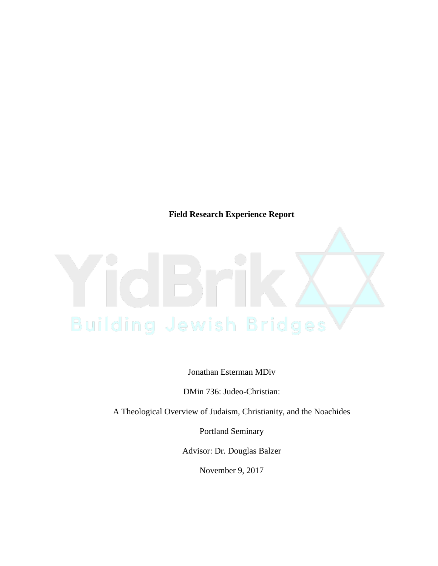**Field Research Experience Report**

Jonathan Esterman MDiv

DMin 736: Judeo-Christian:

A Theological Overview of Judaism, Christianity, and the Noachides

Portland Seminary

Advisor: Dr. Douglas Balzer

November 9, 2017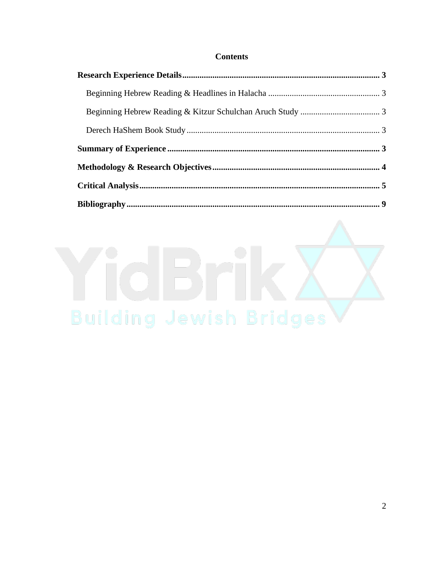# **Contents**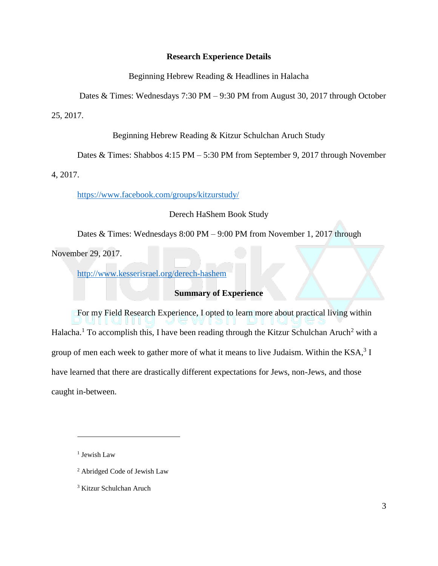#### **Research Experience Details**

#### Beginning Hebrew Reading & Headlines in Halacha

Dates & Times: Wednesdays 7:30 PM – 9:30 PM from August 30, 2017 through October

25, 2017.

Beginning Hebrew Reading & Kitzur Schulchan Aruch Study

Dates & Times: Shabbos 4:15 PM – 5:30 PM from September 9, 2017 through November

4, 2017.

<https://www.facebook.com/groups/kitzurstudy/>

### Derech HaShem Book Study

Dates & Times: Wednesdays 8:00 PM – 9:00 PM from November 1, 2017 through

November 29, 2017.

[http://www.kesserisrael.org/derech-hashem](http://www.portlandkollel.org/events/)

## **Summary of Experience**

For my Field Research Experience, I opted to learn more about practical living within Halacha.<sup>1</sup> To accomplish this, I have been reading through the Kitzur Schulchan Aruch<sup>2</sup> with a group of men each week to gather more of what it means to live Judaism. Within the  $KSA$ ,  $3I$ have learned that there are drastically different expectations for Jews, non-Jews, and those caught in-between.

<sup>1</sup> Jewish Law

- <sup>2</sup> Abridged Code of Jewish Law
- <sup>3</sup> Kitzur Schulchan Aruch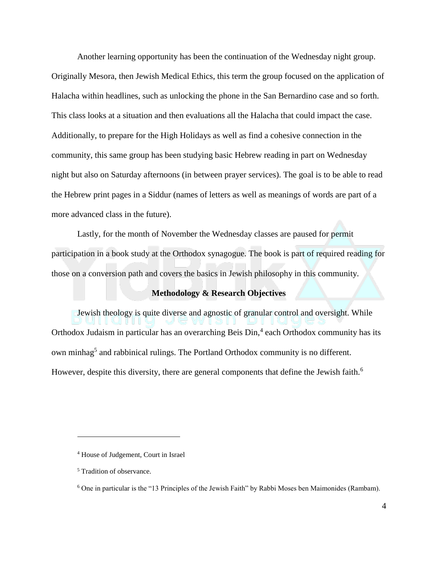Another learning opportunity has been the continuation of the Wednesday night group. Originally Mesora, then Jewish Medical Ethics, this term the group focused on the application of Halacha within headlines, such as unlocking the phone in the San Bernardino case and so forth. This class looks at a situation and then evaluations all the Halacha that could impact the case. Additionally, to prepare for the High Holidays as well as find a cohesive connection in the community, this same group has been studying basic Hebrew reading in part on Wednesday night but also on Saturday afternoons (in between prayer services). The goal is to be able to read the Hebrew print pages in a Siddur (names of letters as well as meanings of words are part of a more advanced class in the future).

Lastly, for the month of November the Wednesday classes are paused for permit participation in a book study at the Orthodox synagogue. The book is part of required reading for those on a conversion path and covers the basics in Jewish philosophy in this community.

#### **Methodology & Research Objectives**

Jewish theology is quite diverse and agnostic of granular control and oversight. While Orthodox Judaism in particular has an overarching Beis Din,<sup>4</sup> each Orthodox community has its own minhag<sup>5</sup> and rabbinical rulings. The Portland Orthodox community is no different. However, despite this diversity, there are general components that define the Jewish faith.<sup>6</sup>

<sup>4</sup> House of Judgement, Court in Israel

<sup>5</sup> Tradition of observance.

<sup>6</sup> One in particular is the "13 Principles of the Jewish Faith" by Rabbi Moses ben Maimonides (Rambam).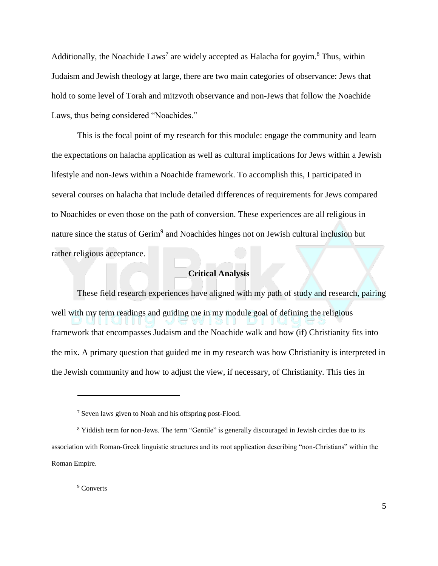Additionally, the Noachide Laws<sup>7</sup> are widely accepted as Halacha for goyim.<sup>8</sup> Thus, within Judaism and Jewish theology at large, there are two main categories of observance: Jews that hold to some level of Torah and mitzvoth observance and non-Jews that follow the Noachide Laws, thus being considered "Noachides."

This is the focal point of my research for this module: engage the community and learn the expectations on halacha application as well as cultural implications for Jews within a Jewish lifestyle and non-Jews within a Noachide framework. To accomplish this, I participated in several courses on halacha that include detailed differences of requirements for Jews compared to Noachides or even those on the path of conversion. These experiences are all religious in nature since the status of Gerim<sup>9</sup> and Noachides hinges not on Jewish cultural inclusion but rather religious acceptance.

## **Critical Analysis**

These field research experiences have aligned with my path of study and research, pairing well with my term readings and guiding me in my module goal of defining the religious framework that encompasses Judaism and the Noachide walk and how (if) Christianity fits into the mix. A primary question that guided me in my research was how Christianity is interpreted in the Jewish community and how to adjust the view, if necessary, of Christianity. This ties in

<sup>7</sup> Seven laws given to Noah and his offspring post-Flood.

<sup>8</sup> Yiddish term for non-Jews. The term "Gentile" is generally discouraged in Jewish circles due to its association with Roman-Greek linguistic structures and its root application describing "non-Christians" within the Roman Empire.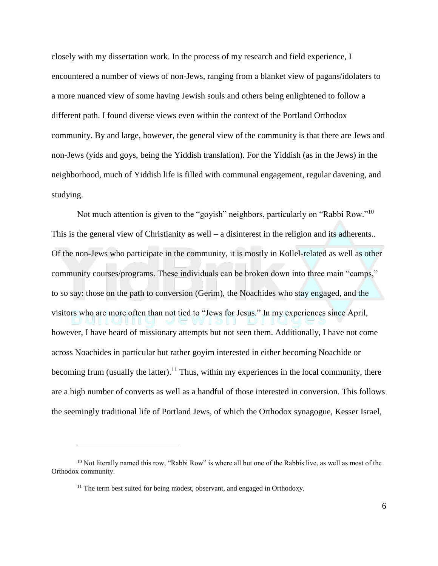closely with my dissertation work. In the process of my research and field experience, I encountered a number of views of non-Jews, ranging from a blanket view of pagans/idolaters to a more nuanced view of some having Jewish souls and others being enlightened to follow a different path. I found diverse views even within the context of the Portland Orthodox community. By and large, however, the general view of the community is that there are Jews and non-Jews (yids and goys, being the Yiddish translation). For the Yiddish (as in the Jews) in the neighborhood, much of Yiddish life is filled with communal engagement, regular davening, and studying.

Not much attention is given to the "goyish" neighbors, particularly on "Rabbi Row."<sup>10</sup> This is the general view of Christianity as well – a disinterest in the religion and its adherents.. Of the non-Jews who participate in the community, it is mostly in Kollel-related as well as other community courses/programs. These individuals can be broken down into three main "camps," to so say: those on the path to conversion (Gerim), the Noachides who stay engaged, and the visitors who are more often than not tied to "Jews for Jesus." In my experiences since April, however, I have heard of missionary attempts but not seen them. Additionally, I have not come across Noachides in particular but rather goyim interested in either becoming Noachide or becoming frum (usually the latter).<sup>11</sup> Thus, within my experiences in the local community, there are a high number of converts as well as a handful of those interested in conversion. This follows the seemingly traditional life of Portland Jews, of which the Orthodox synagogue, Kesser Israel,

<sup>&</sup>lt;sup>10</sup> Not literally named this row, "Rabbi Row" is where all but one of the Rabbis live, as well as most of the Orthodox community.

 $11$  The term best suited for being modest, observant, and engaged in Orthodoxy.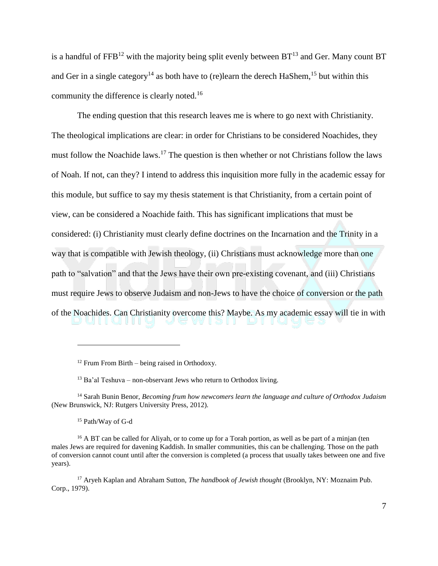is a handful of  $FFB<sup>12</sup>$  with the majority being split evenly between  $BT<sup>13</sup>$  and Ger. Many count BT and Ger in a single category<sup>14</sup> as both have to (re)learn the derech HaShem,<sup>15</sup> but within this community the difference is clearly noted.<sup>16</sup>

The ending question that this research leaves me is where to go next with Christianity. The theological implications are clear: in order for Christians to be considered Noachides, they must follow the Noachide laws.<sup>17</sup> The question is then whether or not Christians follow the laws of Noah. If not, can they? I intend to address this inquisition more fully in the academic essay for this module, but suffice to say my thesis statement is that Christianity, from a certain point of view, can be considered a Noachide faith. This has significant implications that must be considered: (i) Christianity must clearly define doctrines on the Incarnation and the Trinity in a way that is compatible with Jewish theology, (ii) Christians must acknowledge more than one path to "salvation" and that the Jews have their own pre-existing covenant, and (iii) Christians must require Jews to observe Judaism and non-Jews to have the choice of conversion or the path of the Noachides. Can Christianity overcome this? Maybe. As my academic essay will tie in with

 $12$  Frum From Birth – being raised in Orthodoxy.

 $13$  Ba'al Teshuva – non-observant Jews who return to Orthodox living.

<sup>14</sup> Sarah Bunin Benor, *Becoming frum how newcomers learn the language and culture of Orthodox Judaism* (New Brunswick, NJ: Rutgers University Press, 2012).

<sup>15</sup> Path/Way of G-d

<sup>&</sup>lt;sup>16</sup> A BT can be called for Aliyah, or to come up for a Torah portion, as well as be part of a minjan (ten males Jews are required for davening Kaddish. In smaller communities, this can be challenging. Those on the path of conversion cannot count until after the conversion is completed (a process that usually takes between one and five years).

<sup>17</sup> Aryeh Kaplan and Abraham Sutton, *The handbook of Jewish thought* (Brooklyn, NY: Moznaim Pub. Corp., 1979).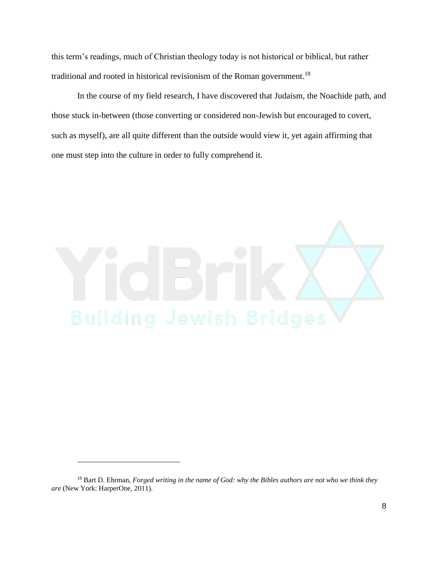this term's readings, much of Christian theology today is not historical or biblical, but rather traditional and rooted in historical revisionism of the Roman government.<sup>18</sup>

In the course of my field research, I have discovered that Judaism, the Noachide path, and those stuck in-between (those converting or considered non-Jewish but encouraged to covert, such as myself), are all quite different than the outside would view it, yet again affirming that one must step into the culture in order to fully comprehend it.



<sup>18</sup> Bart D. Ehrman, *Forged writing in the name of God: why the Bibles authors are not who we think they are* (New York: HarperOne, 2011).